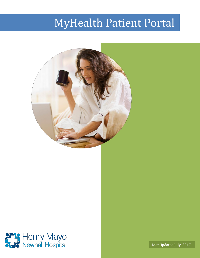# MyHealth Patient Portal





Last Updated July, 2017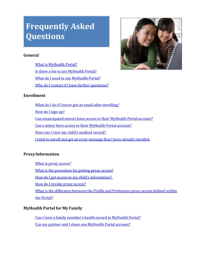## <span id="page-1-0"></span>**Frequently Asked Questions**

## **General**

What is [MyHealth](#page-4-0) Portal? Is there a fee to use [MyHealth](#page-5-0) Portal[?](#page-6-0) What do I need to [use MyHealth](#page-6-0) Portal? Who do I contact if I have further [questions?](#page-6-0)



## **Enrollment**

What do I do if I never got an email after [enrolling?](#page-5-0) [How](#page-5-0) do I sign up? Can [emancipated](#page-6-1) minors have access to their MyHealth Portal account[?](#page-6-2) Can a minor have access to their [MyHealth](#page-6-2) Portal account? How can I view my child's [medical record?](#page-6-0) I tried to enroll [and got an](#page-6-3) error message that I have already enrolled.

## **ProxyInformation**

What is proxy [access?](#page-6-4) What is the [procedure](#page-6-5) for getting proxy access? How do I get access to my child's information? How do I revoke proxy [access?](#page-7-0) What is the difference between the Profile and [Preference](#page-7-1) proxy access defined within the [Portal?](#page-7-1)

## **MyHealth Portal for My Family**

Can I view a family [member's](#page-10-0) health record in MyHealth Portal? Can my partner and I share one [MyHealth](#page-7-2) Portal account?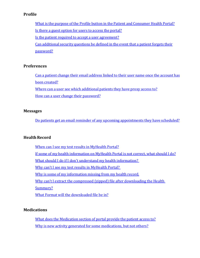## **Profile**

What is the purpose of the Profile button in the Patient and [Consumer](#page-8-0) Health Portal? Is there a guest option for users to access the [portal?](#page-8-1) Is the patient required to accept a user [agreement?](#page-8-2) Can [additional](#page-8-3) security questions be defined in the event that a patient forgets their [password?](#page-8-3)

## **Preferences**

Can a patient change their email [address](#page-8-4) linked to their user name once the account has been [created?](#page-8-4) Where can a user see which [additional](#page-8-5) patients they have proxy access to[?](#page-9-0)

How can a user change their [password?](#page-9-0)

#### **Messages**

Do patients get an email reminder of any upcoming [appointments](#page-9-1) they have scheduled?

#### **Health Record**

When can I see my test results in [MyHealth](#page-8-4) Portal?

If some of my health [information](#page-10-1) on MyHealth Portal is not correct, what should I do?

What should I do if I don't understand my [health information?](#page-10-2) 

Why can't I see my test results in MyHealth Portal?

Why is some of my [information](#page-11-0) missing from my health record.

Why can't I extract the compressed (zipped) file after [downloading](#page-10-4)the Health

[Summary?](#page-10-4)

What Format will the [downloaded](#page-10-4) file be in?

#### **Medications**

What does the [Medication](#page-10-0) section of portal provide the patient access to? Why is new activity generated for some [medications,](#page-11-1) but not others?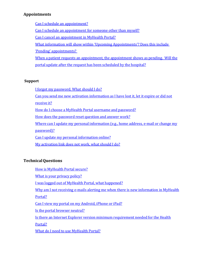## **Appointments**

Can I schedule an [appointment?](#page-11-2)

Can I schedule an [appointment](#page-11-3) for someone other than myself[?](#page-11-4)

Can I cancel [an appointment](#page-11-4) in MyHealth Portal?

What [information will](#page-12-0) show within 'Upcoming Appointments'? Does this include

'Pending' [appointments?](#page-12-0)

When a patient requests an [appointment,](#page-12-1) the appointment shows as pending. Will the portal update after the request has been [scheduled](#page-12-1) by the hospital?

## **Support**

I forgot my [password.](#page-12-2) What should I do?

Can you send me new [activation information](#page-12-3) as I have lost it, let it expire or did not

[receive](#page-12-3) it?

How do I choose a MyHealth Portal username and [password?](#page-13-0)

How does the [password](#page-13-1) reset question and answer work?

Where can I update my personal [information](#page-13-2) (e.g., home address, e-mail or change my

[password\)?](#page-13-2)

Can I update my personal [information](#page-13-3) online?

My activation link does not [work, what](#page-14-0) should I do?

## **TechnicalQuestions**

How is [MyHealth](#page-14-0) Portal secure? What is your [privacy](#page-14-1) policy? I [was logged](#page-14-2) out of MyHealth Portal, what happened? Why am I not receiving e-mails alerting me when there is new [information](#page-15-0) in MyHealth [Portal?](#page-15-0) Can I view my portal on my [Android,](#page-15-1) iPhone or iPad? Is the portal [browser](#page-15-2) neutral? Is there an Internet Explorer version minimum [requirement](#page-15-3) needed for the Healt[h](#page-15-3) [Portal?](#page-15-3) What do I need to [use MyHealth](#page-15-4) Portal?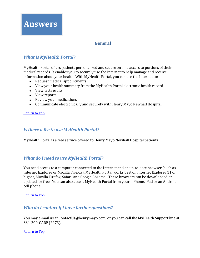

## **General**

## <span id="page-4-0"></span>*What is MyHealth Portal?*

MyHealth Portal offers patients personalized and secure on-line access to portions of their medical records. It enables you to securely use the Internet to help manage and receive information about your health. With MyHealth Portal, you can use the Internet to:

- Request medical appointments
- View your health summary from the MyHealth Portal electronic health record
- View test results
- View reports
- Review your medications
- Communicate electronically and securely with Henry Mayo Newhall Hospital

[Return to Top](#page-1-0)

## *Is there a fee to use MyHealth Portal?*

MyHealth Portal is a free service offered to Henry Mayo Newhall Hospital patients.

## *What do I need to use MyHealth Portal?*

You need access to a computer connected to the Internet and an up-to-date browser (such as Internet Explorer or Mozilla Firefox). MyHealth Portal works best on Internet Explorer 11 or higher, Mozilla Firefox, Safari, and Google Chrome. These browsers can be downloaded or updated for free. You can also access MyHealth Portal from your, iPhone, iPad or an Android cell phone.

#### [Return to](#page-1-0) Top

## *Who do I contact if I have further questions?*

You may e-mail us at [ContactUs@henrymayo.com,](mailto:ContactUs@henrymayo.com) or you can call the MyHealth Support line at 661-200-CARE (2273).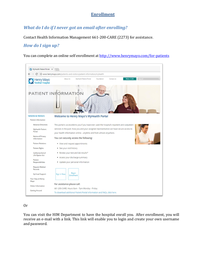## **Enrollment**

## <span id="page-5-0"></span>*What do I do if I never got an email after enrolling?*

Contact Health Information Management 661-200-CARE (2273) for assistance.

## *How do I sign up?*

You can complete an online self enrollment at <http://www.henrymayo.com/for-patients>



#### Or

You can visit the HIM Department to have the hospital enroll you. After enrollment, you will receive an e-mail with a link. This link will enable you to login and create your own username and password.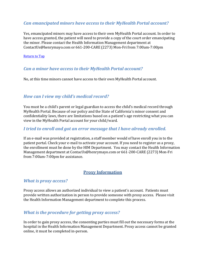## <span id="page-6-1"></span>*Can emancipated minors have access to their MyHealth Portal account?*

Yes, emancipated minors may have access to their own MyHealth Portal account. In order to have access granted, the patient will need to provide a copy of the court order emancipating the minor. Please contact the Health Information Management department at [ContactUs@henrymayo.com](mailto:ContactUs@henrymayo.com) or 661-200-CARE (2273) Mon-Fri from 7:00am-7:00pm

#### [Return to](#page-1-0) Top

## <span id="page-6-2"></span>*Can a minor have access to their MyHealth Portal account?*

No, at this time minors cannot have access to their own MyHealth Portal account.

## <span id="page-6-0"></span>*How can I view my child's medical record?*

You must be a child's parent or legal guardian to access the child's medical record through MyHealth Portal. Because of our policy and the State of California's minor consent and confidentiality laws, there are limitations based on a patient's age restricting what you can view in the MyHealth Portal account for your child/ward.

#### <span id="page-6-3"></span>*I tried to enroll and got an error message that I have already enrolled.*

If an e-mail was provided at registration, a staff member would of have enroll you in to the patient portal. Check your e-mail to activate your account. If you need to register as a proxy, the enrollment must be done by the HIM Department. You may contact the Health Information Management department at [ContacUs@henrymayo.com](mailto:ContacUs@henrymayo.com) or 661-200-CARE (2273) Mon-Fri from 7:00am-7:00pm for assistance.

## **Proxy Information**

#### <span id="page-6-4"></span>*What is proxy access?*

Proxy access allows an authorized individual to view a patient's account. Patients must provide written authorization in person to provide someone with proxy access. Please visit the Health Information Management department to complete this process.

## <span id="page-6-5"></span>*What is the procedure for getting proxy access?*

In order to gain proxy access, the consenting parties must fill out the necessary forms at the hospital in the Health Information Management Department. Proxy access cannot be granted online, it must be completed in-person.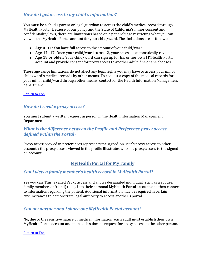## *How do I get access to my child's information?*

You must be a child's parent or legal guardian to access the child's medical record through MyHealth Portal. Because of our policy and the State of California's minor consent and confidentiality laws, there are limitations based on a patient's age restricting what you can view in the MyHealth Portal account for your child/ward. The limitations are as follows:

- **Age 0−11**: You have full access to the amount of your child/ward.
- **Age 12−17**: Once your child/ward turns 12, your access is automatically revoked.
- **Age 18 or older**: Your child/ward can sign up for his or her own MYHealth Portal account and provide consent for proxy access to another adult if he or she chooses.

These age range limitations do not affect any legal rights you may have to access your minor child/ward's medical records by other means. To request a copy of the medical records for your minor child/ward through other means, contact for the Health Information Management department.

[Return to](#page-1-0) Top

## <span id="page-7-0"></span>*How do I revoke proxy access?*

You must submit a written request in person in the Health Information Management Department.

## <span id="page-7-1"></span>*What is the difference between the Profile and Preference proxy access defined within the Portal?*

Proxy access viewed in preferences represents the signed-on user's proxy access to other accounts; the proxy access viewed in the profile illustrates who has proxy access to the signedon account.

## **MyHealth Portal for My Family**

## *Can I view a family member's health record in MyHealth Portal?*

Yes you can. This is called Proxy access and allows designated individual (such as a spouse, family member, or friend) to log into their personal MyHealth Portal account, and then connect to information regarding the patient. Additional information may be required in certain circumstances to demonstrate legal authority to access another's portal.

## <span id="page-7-2"></span>*Can my partner and I share one MyHealth Portal account?*

No, due to the sensitive nature of medical information, each adult must establish their own MyHealth Portal account and then each submit a request for proxy access to the other person.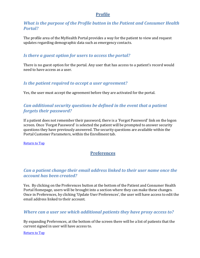## **Profile**

## <span id="page-8-0"></span>*What is the purpose of the Profile button in the Patient and Consumer Health Portal?*

The profile area of the MyHealth Portal provides a way for the patient to view and request updates regarding demographic data such as emergency contacts.

## <span id="page-8-1"></span>*Is there a guest option for users to access the portal?*

There is no guest option for the portal. Any user that has access to a patient's record would need to have access as a user.

## <span id="page-8-2"></span>*Is the patient required to accept a user agreement?*

Yes, the user must accept the agreement before they are activated for the portal.

## <span id="page-8-3"></span>*Can additional security questions be defined in the event that a patient forgets their password?*

If a patient does not remember their password, there is a 'Forgot Password' link on the logon screen. Once 'Forgot Password' is selected the patient will be prompted to answer security questions they have previously answered. The security questions are available within the Portal Customer Parameters, within the Enrollment tab.

<span id="page-8-4"></span>[Return to](#page-1-0) Top

## **Preferences**

## *Can a patient change their email address linked to their user name once the account has been created?*

Yes. By clicking on the Preferences button at the bottom of the Patient and Consumer Health Portal Homepage, users will be brought into a section where they can make these changes. Once in Preferences, by clicking 'Update User Preferences', the user will have access to edit the email address linked to their account.

## <span id="page-8-5"></span>*Where can a user see which additional patients they have proxy access to?*

By expanding Preferences, at the bottom of the screen there will be a list of patients that the current signed in user will have access to.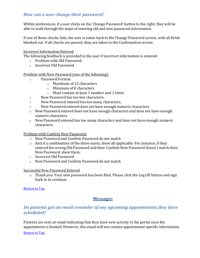## <span id="page-9-0"></span>*How can a user change their password?*

Within preferences, if a user clicks on the 'Change Password' button to the right; they will be able to walk through the steps of entering old and new password information.

If one of those checks fails, the user is taken back to the Change Password screen, with all fields blanked out. If all checks are passed, they are taken to the Confirmation screen

#### Incorrect Information Entered

The following feedback is provided to the user if incorrect information is entered:

- o Problem with Old Password:
- o Incorrect Old Password

Problem with New Password (one of the following):

- o Password Format:
	- o Maximum of 12 characters
	- o Minimum of 8 characters
	- o Must contain at least 1 number and 1 letter
- o New Password has too few characters.
- o New Password entered has too many characters.
- o New Password entered does not have enough numeric characters.
- o New Password entered does not have enough characters and does not have enough numeric characters.
- o New Password entered has too many characters and does not have enough numeric characters.

Problem with Confirm New Password:

- o New Password and Confirm Password do not match
- o And if a combination of the three exists, show all applicable. For instance, if they entered the wrong Old Password and their Confirm New Password doesn't match their New Password, show them:
- o Incorrect Old Password
- o New Password and Confirm Password do not match

#### Successful New Password Entered

o Thank you. Your new password has been filed. Please click the Log Off button and sign back in to continue.

<span id="page-9-1"></span>[Return to](#page-1-0) Top

## **Messages**

## *Do patients get an email reminder of any upcoming appointments they have scheduled?*

Patients are sent an email indicating that they have new activity in the portal once the appointment is booked. However, this email will not contain appointment specific information.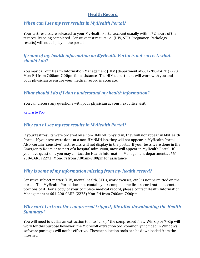## **Health Record**

## *When can I see my test results in MyHealth Portal?*

Your test results are released to your MyHealth Portal account usually within 72 hours of the test results being completed. Sensitive test results i.e., (HIV, STD, Pregnancy, Pathology results) will not display in the portal.

## <span id="page-10-1"></span>*If some of my health information on MyHealth Portal is not correct, what should I do?*

You may call our Health Information Management (HIM) department at 661-200-CARE (2273) Mon-Fri from 7:00am-7:00pm for assistance. The HIM department will work with you and your physician to ensure your medical record is accurate.

## <span id="page-10-2"></span>*What should I do if I don't understand my health information?*

You can discuss any questions with your physician at your next office visit.

#### [Return to](#page-1-0) Top

## <span id="page-10-3"></span>*Why can't I see my test results in MyHealth Portal?*

If your test results were ordered by a non-HMNMH physician, they will not appear in MyHealth Portal. If your test were done at a non-HMNMH lab, they will not appear in MyHealth Portal. Also, certain "sensitive" test results will not display in the portal. If your tests were done in the Emergency Room or as part of a hospital admission, most will appear in MyHealth Portal. If you have questions, you may contact the Health Information Management department at 661- 200-CARE (2273) Mon-Fri from 7:00am-7:00pm for assistance.

## <span id="page-10-0"></span>*Why is some of my information missing from my health record?*

Sensitive subject matter (HIV, mental health, STDs, work excuses, etc.) is not permitted on the portal. The MyHealth Portal does not contain your complete medical record but does contain portions of it. For a copy of your complete medical record, please contact Health Information Management at 661-200-CARE (2273) Mon-Fri from 7:00am-7:00pm.

## <span id="page-10-4"></span>*Why can't I extract the compressed (zipped) file after downloading the Health Summary?*

You will need to utilize an extraction tool to "unzip" the compressed files. WinZip or 7-Zip will work for this purpose however; the Microsoft extraction tool commonly included in Windows software packages will not be effective. These application tools can be downloaded from the internet.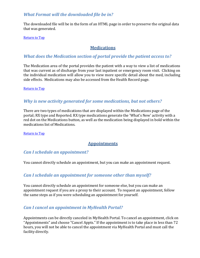## *What Format will the downloaded file be in?*

The downloaded file will be in the form of an HTML page in order to preserve the original data that was generated.

[Return to](#page-1-0) Top

## **Medications**

## *What does the Medication section of portal provide the patient access to?*

The Medication area of the portal provides the patient with a way to view a list of medications that was current as of discharge from your last inpatient or emergency room visit. Clicking on the individual medication will allow you to view more specific detail about the med, including side effects. Medications may also be accessed from the Health Record page.

[Return to](#page-1-0) Top

## <span id="page-11-1"></span>*Why is new activity generated for some medications, but not others?*

There are two types of medications that are displayed within the Medications page of the portal; RX type and Reported. RX type medications generate the 'What's New' activity with a red dot on the Medications button, as well as the medication being displayed in bold within the medications list of Medications.

<span id="page-11-2"></span><span id="page-11-0"></span>[Return to](#page-1-0) Top

## **Appointments**

## *Can I schedule an appointment?*

You cannot directly schedule an appointment, but you can make an appointment request.

## <span id="page-11-3"></span>*Can I schedule an appointment for someone other than myself?*

You cannot directly schedule an appointment for someone else, but you can make an appointment request if you are a proxy to their account. To request an appointment, follow the same steps as if you were scheduling an appointment for yourself.

## <span id="page-11-4"></span>*Can I cancel an appointment in MyHealth Portal?*

Appointments can be directly canceled in MyHealth Portal. To cancel an appointment, click on "Appointments" and choose "Cancel Appts." If the appointment is to take place in less than 72 hours, you will not be able to cancel the appointment via MyHealth Portal and must call the facility directly.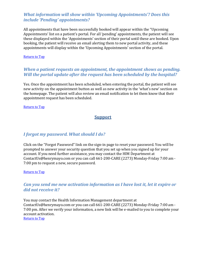## <span id="page-12-0"></span>*What information will show within 'Upcoming Appointments'? Does this include 'Pending' appointments?*

All appointments that have been successfully booked will appear within the "Upcoming Appointments' list on a patient's portal. For all 'pending' appointments, the patient will see these displayed within the 'Appointments' section of their portal until these are booked. Upon booking, the patient will receive an email alerting them to new portal activity, and these appointments will display within the 'Upcoming Appointments' section of the portal.

[Return to](#page-1-0) Top

## <span id="page-12-1"></span>*When a patient requests an appointment, the appointment shows as pending. Will the portal update after the request has been scheduled by the hospital?*

Yes. Once the appointment has been scheduled, when entering the portal, the patient will see new activity on the appointment button as well as new activity in the 'what's new' section on the homepage. The patient will also review an email notification to let them know that their appointment request has been scheduled.

<span id="page-12-2"></span>[Return to](#page-1-0) Top

## **Support**

## *I forgot my password. What should I do?*

Click on the "Forgot Password" link on the sign-in page to reset your password. You will be prompted to answer your security question that you set up when you signed up for your account. If you need further assistance, you may contact the HIM Department at [ContactUs@henrymayo.com](mailto:ContactUs@henrymayo.com) or you can call 661-200-CARE (2273) Monday-Friday 7:00 am - 7:00 pm to request a new, secure password.

#### [Return to](#page-1-0) Top

## <span id="page-12-3"></span>*Can you send me new activation information as I have lost it, let it expire or did not receive it?*

You may contact the Health Information Management department at [ContactUs@henrymayo.com](mailto:ContactUs@henrymayo.com) or you can call 661-200-CARE (2273) Monday-Friday 7:00 am - 7:00 pm. After we verify your information, a new link will be e-mailed to you to complete your account activation. [Return to](#page-1-0) Top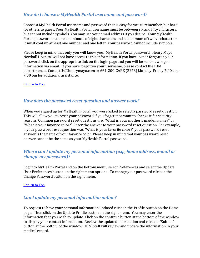## <span id="page-13-0"></span>*How do I choose a MyHealth Portal username and password?*

Choose a MyHealth Portal username and password that is easy for you to remember, but hard for others to guess. Your MyHealth Portal username must be between six and fifty characters, but cannot include symbols. You may use your email address if you desire. Your MyHealth Portal password must be a minimum of eight characters and a maximum of twelve characters. It must contain at least one number and one letter. Your password cannot include symbols.

Please keep in mind that only you will know your MyHealth Portal password. Henry Mayo Newhall Hospital will not have access to this information. If you have lost or forgotten your password, click on the appropriate link on the login page and you will be send new logon information via email. If you have forgotten your username, please contact the HIM department at [ContactUs@henrymayo.com](mailto:ContactUs@henrymayo.com) or 661-200-CARE (2273) Monday-Friday 7:00 am - 7:00 pm for additional assistance.

<span id="page-13-1"></span>[Return to](#page-1-0) Top

## *How does the password reset question and answer work?*

When you signed up for MyHealth Portal, you were asked to select a password reset question. This will allow you to reset your password if you forget it or want to change it for security reasons. Common password reset questions are: "What is your mother's maiden name?" or "What is your favorite color?" Enter the answer to your password reset question. For example, if your password reset question was "What is your favorite color?" your password reset answer is the name of your favorite color. Please keep in mind that your password reset answer cannot be the same as your MyHealth Portal password.

## <span id="page-13-2"></span>*Where can I update my personal information (e.g., home address, e-mail or change my password)?*

Log into MyHealth Portal and on the bottom menu, select Preferences and select the Update User Preferences button on the right menu options. To change your password click on the Change Password button on the right menu.

[Return to](#page-1-0) Top

## <span id="page-13-3"></span>*Can I update my personal information online?*

To request to have your personal information updated click on the Profile button on the Home page. Then click on the Update Profile button on the right menu. You may enter the information that you wish to update. Click on the continue button at the bottom of the window to display your contact information. Review the updated information and click on "Submit" button at the bottom of the window. HIM Staff will review and update the information in your medical record.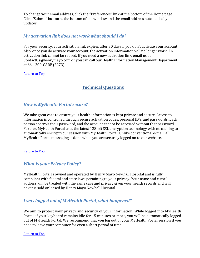To change your email address, click the "Preferences" link at the bottom of the Home page. Click "Submit" button at the bottom of the window and the email address automatically updates.

## <span id="page-14-0"></span>*My activation link does not work what should I do?*

For your security, your activation link expires after 30 days if you don't activate your account. Also, once you do activate your account, the activation information will no longer work. An activation link cannot be reused. If you need a new activation link, email us at [ContactUs@henrymayo.com](mailto:ContactUs@henrymayo.com) or you can call our Health Information Management Department at 661-200-CARE (2273).

[Return to](#page-1-0) Top

## **Technical Questions**

## *How is MyHealth Portal secure?*

We take great care to ensure your health information is kept private and secure. Access to information is controlled through secure activation codes, personal ID's, and passwords. Each person controls their password, and the account cannot be accessed without that password. Further, MyHealth Portal uses the latest 128-bit SSL encryption technology with no caching to automatically encrypt your session with MyHealth Portal. Unlike conventional e-mail, all MyHealth Portal messaging is done while you are securely logged on to our website.

#### [Return to](#page-1-0) Top

## <span id="page-14-1"></span>*What is your Privacy Policy?*

MyHealth Portal is owned and operated by Henry Mayo Newhall Hospital and is fully compliant with federal and state laws pertaining to your privacy. Your name and e-mail address will be treated with the same care and privacy given your health records and will never is sold or leased by Henry Mayo Newhall Hospital.

## <span id="page-14-2"></span>*I was logged out of MyHealth Portal, what happened?*

We aim to protect your privacy and security of your information. While logged into MyHealth Portal, if your keyboard remains idle for 15 minutes or more, you will be automatically logged out of MyHealth Portal. We recommend that you log out of your MyHealth Portal session if you need to leave your computer for even a short period of time.